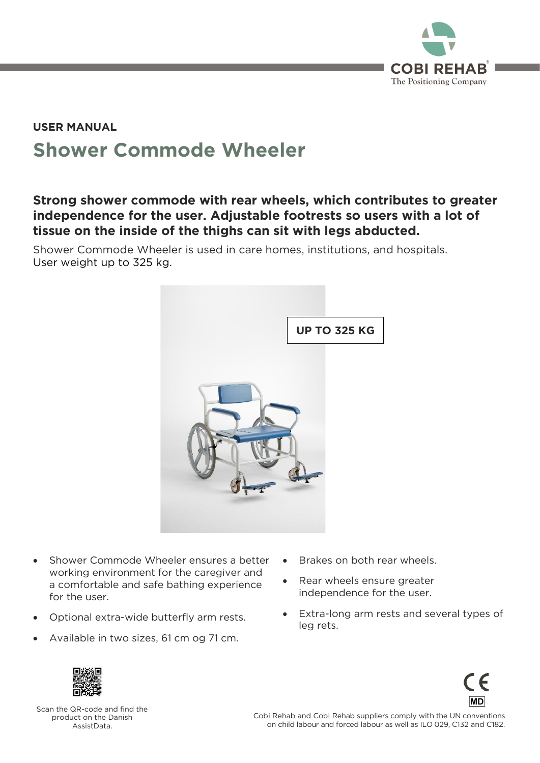

### **Shower Commode Wheeler USER MANUAL**

#### **Strong shower commode with rear wheels, which contributes to greater independence for the user. Adjustable footrests so users with a lot of tissue on the inside of the thighs can sit with legs abducted.**

Shower Commode Wheeler is used in care homes, institutions, and hospitals.<br>User weight up to 325 kg. User weight up to 325 kg.



- Shower Commode Wheeler ensures a better working environment for the caregiver and a comfortable and safe bathing experience for the user. for the user.
- Optional extra-wide butterfly arm rests.
- Available in two sizes, 61 cm og 71 cm.
- Brakes on both rear wheels.
- Rear wheels ensure greater<br>independence for the user. independence for the user.
- Extra-long arm rests and several types of leg rets. leg rets.





Scan the QR-code and find the<br>product on the Danish Assist Data.

Comments and Convention suppliers comply with the UN conventions.<br>Con child labour and forced labour as well as II 0.029 C132 and C182. on child labour and forced labour as well as ILO 029, C132 and C182.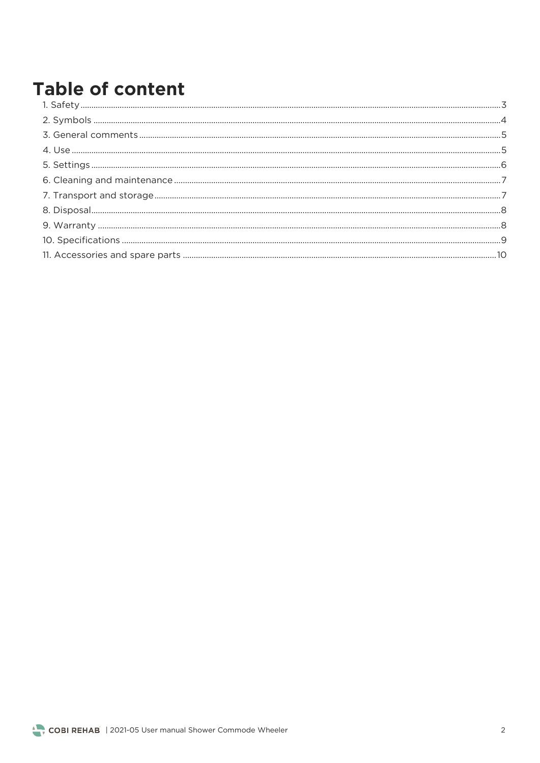## **Table of content**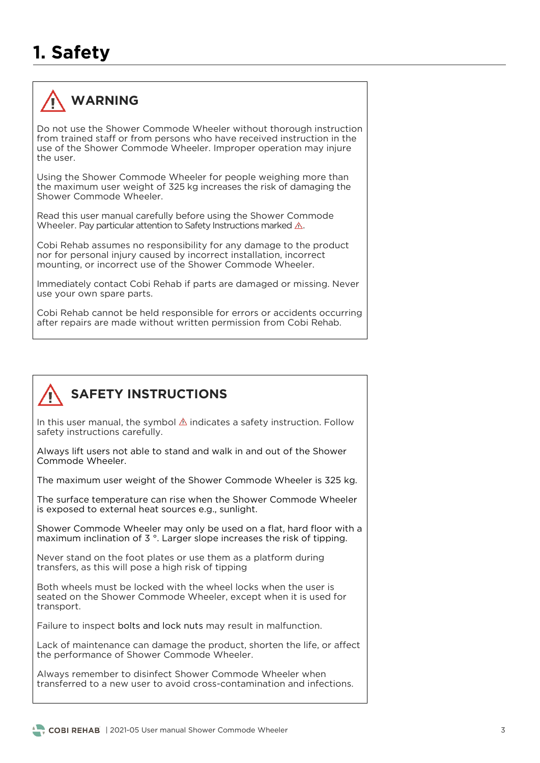## **1. Safety**



#### **WARNING**

Do not use the Shower Commode Wheeler without thorough instruction from trained staff or from persons who have received instruction in the use of the Shower Commode Wheeler. Improper operation may injure the user.  $\frac{1}{2}$  is the Shower Commode Wheeler. In proper operation may injure

Using the Shower Commode Wheeler for people weighing more than the maximum user weight of 325 kg increases the risk of damaging the Shower Commode Wheeler Shower Commode Wheeler.

Read this user manual carefully before using the Shower Commode Wheeler. Pay particular attention to Safety Instructions marked  $\mathbb{A}$ . Wheeler. Pay particular attention to Safety Instructions marked .

Cobi Rehab assumes no responsibility for any damage to the product nor for personal injury caused by incorrect installation, incorrect mounting, or incorrect use of the Shower Commode Wheeler. mounting, or incorrect use of the Shower Commode Wheeler.

Immediately contact Cobi Rehab if parts are damaged or missing. Never use your own spare parts. use your own spare parts.

Cobi Rehab cannot be held responsible for errors or accidents occurring after repairs are made without written permission from Cobi Rehab. after repairs are made without written permission from Cobi Rehab.

### **SAFETY INSTRUCTIONS**

In this user manual, the symbol  $\triangle$  indicates a safety instruction. Follow safety instructions carefully. safety instructions carefully.

Always lift users not able to stand and walk in and out of the Shower Commode Wheeler.

The maximum user weight of the Shower Commode Wheeler is 325 kg.

 $\frac{1}{10}$  is exposed to external heat sources e.g. supplied the  $\frac{1}{10}$ is exposed to external heat sources e.g., sunlight.

Shower Commode Wheeler may only be used on a flat, hard floor with a<br>maximum inclination of 3 °. Larger slope increases the risk of tipping. maximum inclination of 3 °. Larger slope increases the risk of tipping.

 $\frac{1}{2}$  transfers, as this will pose a high risk of tipping  $\frac{1}{2}$  transfers a high risk of tipping  $\frac{1}{2}$ 

Both wheels must be locked with the wheel locks when the user is seated on the Shower Commode Wheeler, except when it is used for transport. transport.

Failure to inspect bolts and lock nuts may result in malfunction.

Lack of maintenance can damage the product, shorten the life, or affect.<br>the performance of Shower Commode Wheeler. the performance of Shower Commode Wheeler.

Always remember to disinfect Shower Commode Wheeler when transferred to a new user to avoid cross-contamination and infections.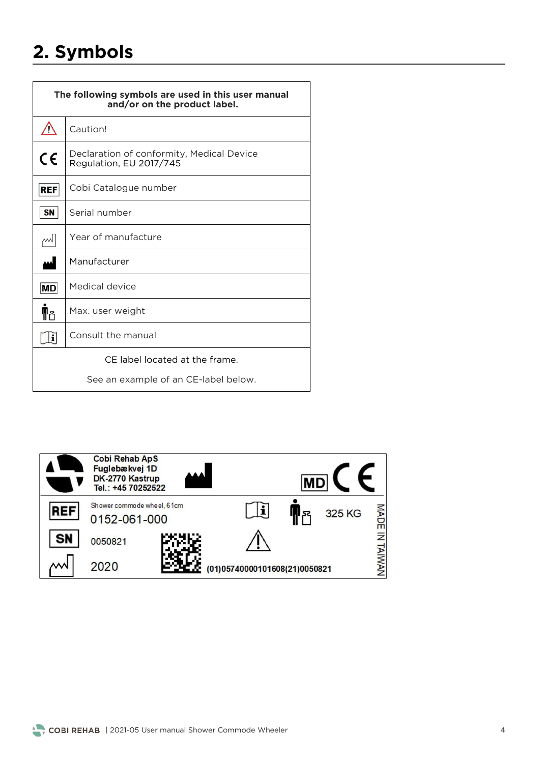## **2. Symbols**

| The following symbols are used in this user manual<br>and/or on the product label. |                                                                      |  |
|------------------------------------------------------------------------------------|----------------------------------------------------------------------|--|
| Ņ                                                                                  | Caution!                                                             |  |
| CE                                                                                 | Declaration of conformity, Medical Device<br>Regulation, EU 2017/745 |  |
| <b>REF</b>                                                                         | Cobi Catalogue number                                                |  |
| <b>SN</b>                                                                          | Serial number                                                        |  |
| w                                                                                  | Year of manufacture                                                  |  |
|                                                                                    | Manufacturer                                                         |  |
| MD                                                                                 | Medical device                                                       |  |
| M۴                                                                                 | Max. user weight                                                     |  |
|                                                                                    | Consult the manual                                                   |  |
| CE label located at the frame.                                                     |                                                                      |  |
| See an example of an CE-label below.                                               |                                                                      |  |



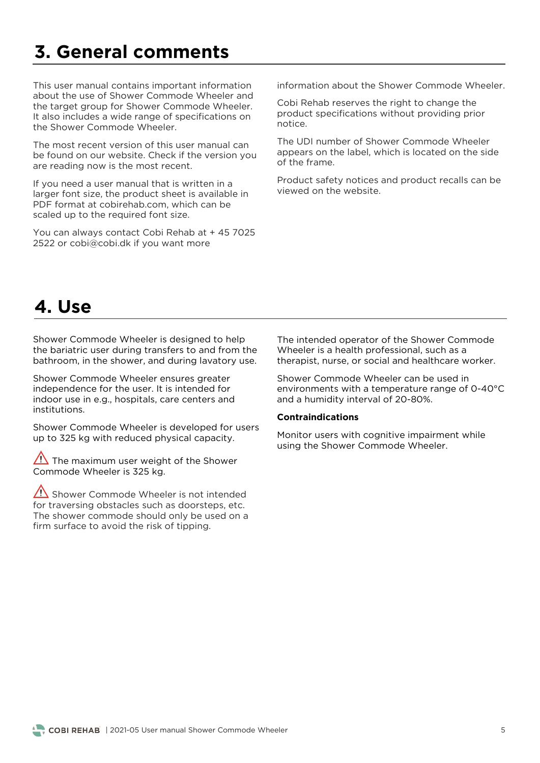### **3. General comments**

This user manual contains important information<br>about the use of Shower Commode Wheeler and the target group for Shower Commode Wheeler. It also includes a wide range of specifications on the Shower Commode Wheeler. the Shower Commode Wheeler.

The most recent version of this user manual can<br>be found on our website. Check if the version you are reading now is the most recent. are reading now is the most recent.

If you need a user manual that is written in a<br>larger font size, the product sheet is available in PDF format at cobirehab.com, which can be  $R$  scaled un to the required font size scaled up to the required font size.

 $2522$  or cobigicabi dk if you want more 2522 or cobi@cobi.dk if you want more

information about the Shower Commode Wheeler information about the Shower Commode Wheeler.

product specifications without providing prior product specifications without providing prior.<br>notice

The UDI number of Shower Commode Wheeler appears on the label, which is located on the side of the frame.

Product safety notices and product recalls can be

### **4. Use**

Shower Commode Wheeler is designed to help<br>the bariatric user during transfers to and from the the bariance user the barrier and during layetory use bathroom, in the shower, and during lavatory use.

Shower Commode Wheeler ensures greater<br>independence for the user. It is intended for indoor use in e.g., hospitals, care centers and institutions. institutions.

Shower Commode Wheeler is developed for users  $\mathbf{y}$  is 325 kg with reduced physical capacity.

The maximum user weight of the Shower<br>Commode Wheeler is 325 kg. Commode Wheeler is 325 kg.

 $\sqrt{\frac{1}{1}}$  Shower Commode Wheeler is not intended for traversing obstacles such as doorsteps, etc. The shower commode should only be used on a firm surface to avoid the risk of tipping. firm surface to avoid the risk of tipping.

The intended operator of the Shower Commode<br>Wheeler is a health professional, such as a theranist nurse or social and healthcare w therapist, nurse, or social and healthcare worker.

Shower Commode Wheeler can be used in<br>environments with a temperature range of 0-40°C and a humidity interval of 20-80%. and a humidity interval of 20-80%.

#### **Contraindications**

Monitor users with cognitive impairment while  $\frac{1}{\sin \theta}$  the Shower Commode Wheeler using the Shower Commode Wheeler.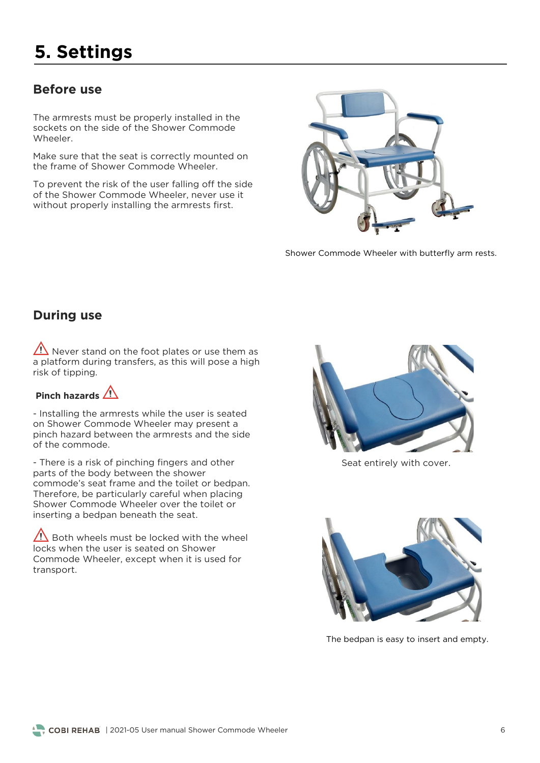## **5. Settings**

#### **Before use**

The armrests must be properly installed in the sockets on the side of the Shower Commode Wheeler

Make sure that the seat is correctly mounted on the frame of Shower Commode Wheeler. the frame of Shower Commode Wheeler.

To prevent the risk of the user falling off the side<br>of the Shower Commode Wheeler, never use it without properly installing the armrests first. with the properly installing the arms the instr



Shower Commode Wheeler with butterfly arm rests.

#### **During use**

 $\sqrt{\frac{1}{1}}$  Never stand on the foot plates or use them as a platform during transfers, as this will pose a high risk of tipping. risk of tipping.

#### **Pinch hazards**

- Installing the armrests while the user is seated<br>on Shower Commode Wheeler may present a pinch hazard between the armrests and the side of the commode.

- There is a risk of pinching fingers and other parts of the body between the shower commode's seat frame and the toilet or bedpan. Therefore, be particularly careful when placing Shower Commode Wheeler over the toilet or inserting a bedpan beneath the seat. inserting a bedpan beneath the seat.

 $\sqrt{!}$  Both wheels must be locked with the wheel locks when the user is seated on Shower Commode Wheeler, except when it is used for transport. transport.



Seat entirely with cover.



The bedpan is easy to insert and empty.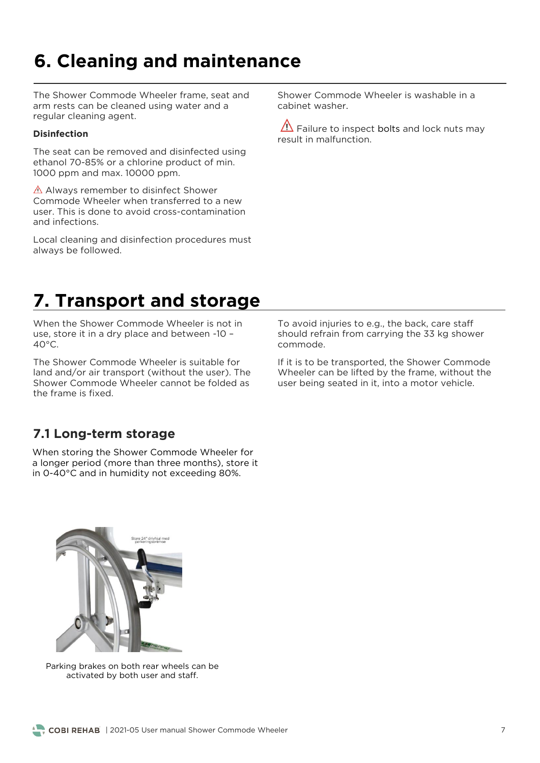## **6. Cleaning and maintenance**

The Shower Commode Wheeler frame, seat and arm rests can be cleaned using water and a regular cleaning agent. regular cleaning agent.

#### **Disinfection**

The seat can be removed and disinfected using<br>ethanol 70-85% or a chlorine product of min.  $1000$  ppm and max  $10000$  ppm 1000 ppm and max. 10000 ppm.

 $\triangle$  Always remember to disinfect Shower<br>Commode Wheeler when transferred to a new user. This is done to avoid cross-contamination and infections.

Local cleaning and disinfection procedures must<br>always be followed. always be followed.

Shower Commode Wheeler is washable in a

 $\sqrt{\Delta}$  Failure to inspect bolts and lock nuts may result in malfunction.

### **7. Transport and storage**

When the Shower Commode Wheeler is not in use, store it in a dry place and between -10 - $40^{\circ}$ C. 40°C.

The Shower Commode Wheeler is suitable for land and/or air transport (without the user). The Shower Commode Wheeler cannot be folded as the frame is fixed

To avoid injuries to e.g., the back, care staff<br>should refrain from carrying the 33 kg shower commode.

If it is to be transported, the Shower Commode<br>Wheeler can be lifted by the frame, without the user being seated in it, into a motor vehicle. user being seated in it, into a motor vehicle.

#### **7.1 Long-term storage**

When storing the Shower Commode Wheeler for<br>a longer period (more than three months), store it in 0-40°C and in humidity not exceeding 80%. in 0-40°C and in humidity not exceeding 80%.



activated by both user and staff activated by both user and staff.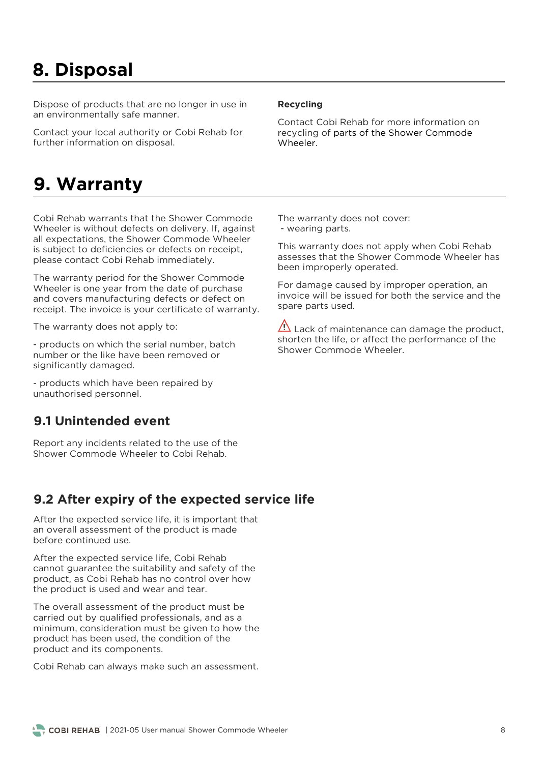### **8. Disposal**

Dispose of products that are no longer in use in<br>an environmentally safe manner. an environmentally safe manner.

Contact your local authority or Cobi Rehab for<br>further information on disposal. further information on disposal.

#### **9. Warranty**

Cobi Rehab warrants that the Shower Commode<br>Wheeler is without defects on delivery. If, against all expectations, the Shower Commode Wheeler is subject to deficiencies or defects on receipt, please contact Cobi Rehab immediately. please contact Cobi Rehab immediately.

The warranty period for the Shower Commode<br>Wheeler is one year from the date of purchase and covers manufacturing defects or defect on receipt. The invoice is your certificate of warranty. receipt. The invoice is your certificate of warranty.

The warranty does not apply to:

- products on which the serial number, batch number or the like have been removed or significantly damaged. significantly damaged.

- products which have been repaired by<br>unauthorised personnel. unauthorised personnel.

#### **9.1 Unintended event**

Report any incidents related to the use of the Shower Commode Wheeler to Cobi Rehab. Shower Commode Wheeler to Cobi Rehab.

#### **9.2 After expiry of the expected service life**

After the expected service life, it is important that an overall assessment of the product is made before continued use.

After the expected service life, Cobi Rehab<br>cannot guarantee the suitability and safety of the product, as Cobi Rehab has no control over how the product is used and wear and tear. the product is used and wear and tear.

The overall assessment of the product must be carried out by qualified professionals, and as a minimum, consideration must be given to how the product has been used, the condition of the product and its components product and its components.

Cobi Rehab can always make such an assessment.

#### **Recycling**

Contact Cobi Rehab for more information on<br>recycling of parts of the Shower Commode Wheeler.

The warranty does not cover:<br>- wearing parts. - wearing parts.

This warranty does not apply when Cobi Rehab been improperly operated. been improperly operated.

For damage caused by improper operation, an invoice will be issued for both the service and the snare parts used spare parts used.

 $\overline{\Delta}$  Lack of maintenance can damage the product, shorten the life, or affect the performance of the Shower Commode Wheeler. Shower Commode Wheeler.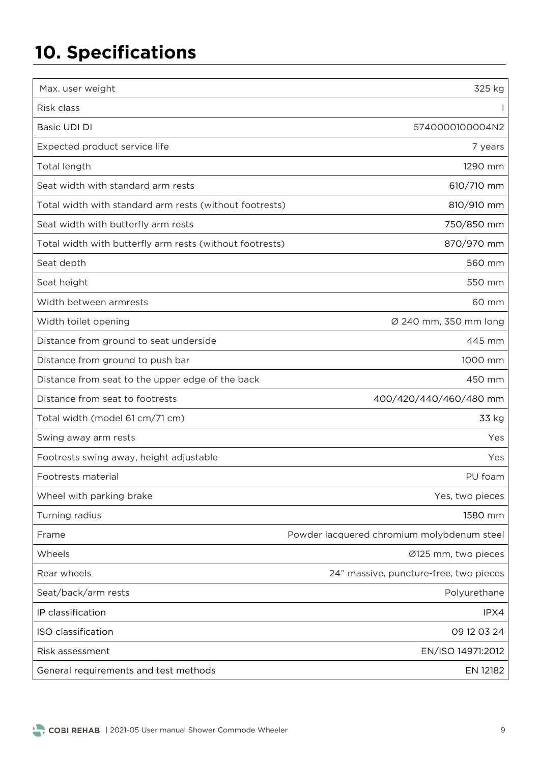# **10. Specifications**

| Max. user weight                                         | 325 kg                                     |
|----------------------------------------------------------|--------------------------------------------|
| Risk class                                               |                                            |
| Basic UDI DI                                             | 5740000100004N2                            |
| Expected product service life                            | 7 years                                    |
| Total length                                             | 1290 mm                                    |
| Seat width with standard arm rests                       | 610/710 mm                                 |
| Total width with standard arm rests (without footrests)  | 810/910 mm                                 |
| Seat width with butterfly arm rests                      | 750/850 mm                                 |
| Total width with butterfly arm rests (without footrests) | 870/970 mm                                 |
| Seat depth                                               | 560 mm                                     |
| Seat height                                              | 550 mm                                     |
| Width between armrests                                   | 60 mm                                      |
| Width toilet opening                                     | Ø 240 mm, 350 mm long                      |
| Distance from ground to seat underside                   | 445 mm                                     |
| Distance from ground to push bar                         | 1000 mm                                    |
| Distance from seat to the upper edge of the back         | 450 mm                                     |
| Distance from seat to footrests                          | 400/420/440/460/480 mm                     |
| Total width (model 61 cm/71 cm)                          | 33 kg                                      |
| Swing away arm rests                                     | Yes                                        |
| Footrests swing away, height adjustable                  | Yes                                        |
| Footrests material                                       | PU foam                                    |
| Wheel with parking brake                                 | Yes, two pieces                            |
| Turning radius                                           | 1580 mm                                    |
| Frame                                                    | Powder lacquered chromium molybdenum steel |
| Wheels                                                   | Ø125 mm, two pieces                        |
| Rear wheels                                              | 24" massive, puncture-free, two pieces     |
| Seat/back/arm rests                                      | Polyurethane                               |
| IP classification                                        | IPX4                                       |
| ISO classification                                       | 09 12 03 24                                |
| Risk assessment                                          | EN/ISO 14971:2012                          |
| General requirements and test methods                    | EN 12182                                   |
|                                                          |                                            |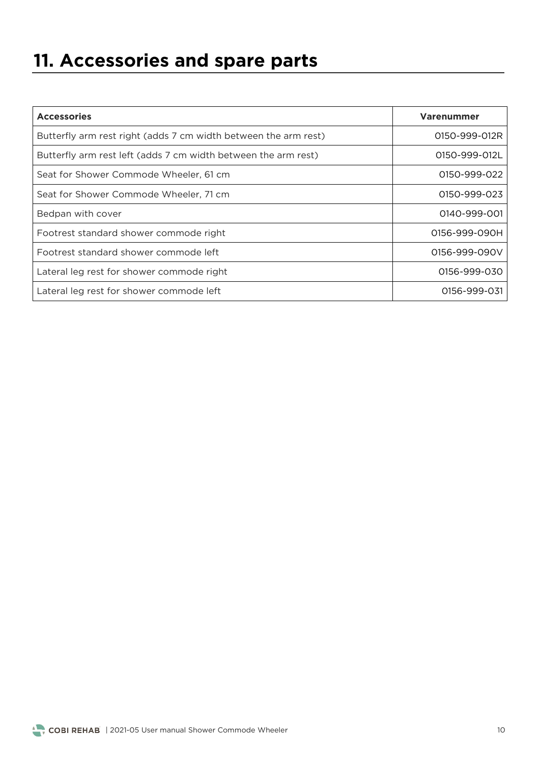# **11. Accessories and spare parts**

| <b>Accessories</b>                                              | <b>Varenummer</b> |
|-----------------------------------------------------------------|-------------------|
| Butterfly arm rest right (adds 7 cm width between the arm rest) | 0150-999-012R     |
| Butterfly arm rest left (adds 7 cm width between the arm rest)  | 0150-999-012L     |
| Seat for Shower Commode Wheeler, 61 cm                          | 0150-999-022      |
| Seat for Shower Commode Wheeler, 71 cm                          | 0150-999-023      |
| Bedpan with cover                                               | 0140-999-001      |
| Footrest standard shower commode right                          | 0156-999-090H     |
| Footrest standard shower commode left                           | 0156-999-090V     |
| Lateral leg rest for shower commode right                       | 0156-999-030      |
| Lateral leg rest for shower commode left                        | 0156-999-031      |